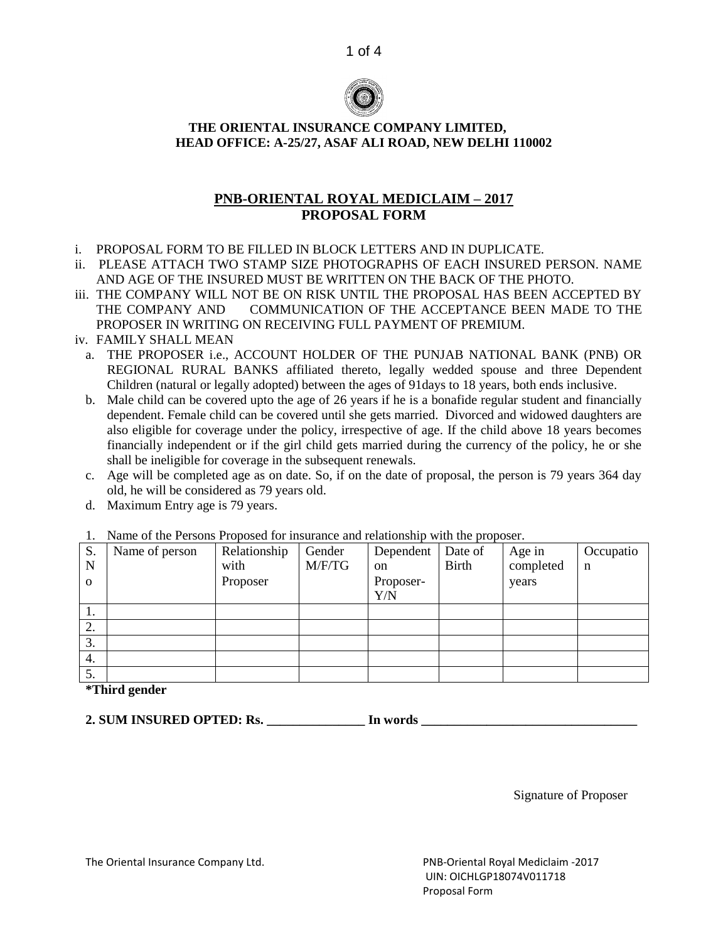



### **THE ORIENTAL INSURANCE COMPANY LIMITED, HEAD OFFICE: A-25/27, ASAF ALI ROAD, NEW DELHI 110002**

# **PNB-ORIENTAL ROYAL MEDICLAIM – 2017 PROPOSAL FORM**

- i. PROPOSAL FORM TO BE FILLED IN BLOCK LETTERS AND IN DUPLICATE.
- ii. PLEASE ATTACH TWO STAMP SIZE PHOTOGRAPHS OF EACH INSURED PERSON. NAME AND AGE OF THE INSURED MUST BE WRITTEN ON THE BACK OF THE PHOTO.
- iii. THE COMPANY WILL NOT BE ON RISK UNTIL THE PROPOSAL HAS BEEN ACCEPTED BY THE COMPANY AND COMMUNICATION OF THE ACCEPTANCE BEEN MADE TO THE PROPOSER IN WRITING ON RECEIVING FULL PAYMENT OF PREMIUM.
- iv. FAMILY SHALL MEAN
	- a. THE PROPOSER i.e., ACCOUNT HOLDER OF THE PUNJAB NATIONAL BANK (PNB) OR REGIONAL RURAL BANKS affiliated thereto, legally wedded spouse and three Dependent Children (natural or legally adopted) between the ages of 91days to 18 years, both ends inclusive.
	- b. Male child can be covered upto the age of 26 years if he is a bonafide regular student and financially dependent. Female child can be covered until she gets married. Divorced and widowed daughters are also eligible for coverage under the policy, irrespective of age. If the child above 18 years becomes financially independent or if the girl child gets married during the currency of the policy, he or she shall be ineligible for coverage in the subsequent renewals.
	- c. Age will be completed age as on date. So, if on the date of proposal, the person is 79 years 364 day old, he will be considered as 79 years old.
	- d. Maximum Entry age is 79 years.

| S.       | Name of person | Relationship | Gender | Dependent | Date of      | Age in    | Occupatio |
|----------|----------------|--------------|--------|-----------|--------------|-----------|-----------|
| N        |                | with         | M/F/TG | on        | <b>Birth</b> | completed | n         |
| $\Omega$ |                | Proposer     |        | Proposer- |              | years     |           |
|          |                |              |        | Y/N       |              |           |           |
| 1.       |                |              |        |           |              |           |           |
| 2.       |                |              |        |           |              |           |           |
| 3.       |                |              |        |           |              |           |           |
| 4.       |                |              |        |           |              |           |           |
| 5.       |                |              |        |           |              |           |           |

## 1. Name of the Persons Proposed for insurance and relationship with the proposer.

**\*Third gender**

**2. SUM INSURED OPTED: Rs. \_\_\_\_\_\_\_\_\_\_\_\_\_\_\_ In words \_\_\_\_\_\_\_\_\_\_\_\_\_\_\_\_\_\_\_\_\_\_\_\_\_\_\_\_\_\_\_\_\_**

Signature of Proposer

The Oriental Insurance Company Ltd. PNB-Oriental Royal Mediclaim -2017

 UIN: OICHLGP18074V011718 Proposal Form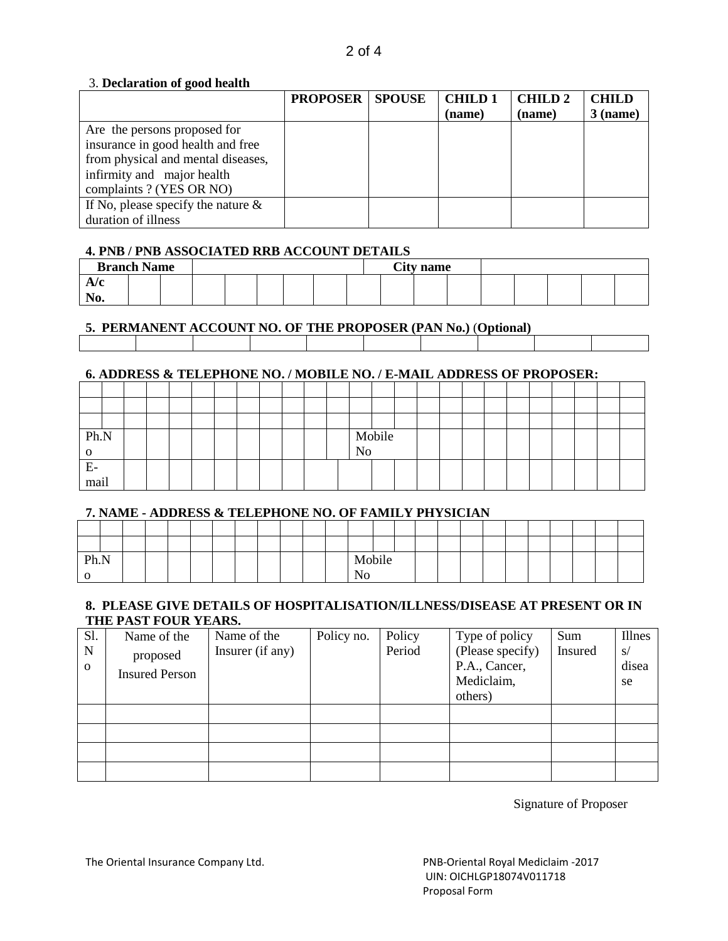#### 3. **Declaration of good health**

|                                       | <b>PROPOSER   SPOUSE</b> | <b>CHILD1</b> | <b>CHILD2</b> | <b>CHILD</b> |
|---------------------------------------|--------------------------|---------------|---------------|--------------|
|                                       |                          | (name)        | (name)        | $3$ (name)   |
| Are the persons proposed for          |                          |               |               |              |
| insurance in good health and free     |                          |               |               |              |
| from physical and mental diseases,    |                          |               |               |              |
| infirmity and major health            |                          |               |               |              |
| complaints ? (YES OR NO)              |                          |               |               |              |
| If No, please specify the nature $\&$ |                          |               |               |              |
| duration of illness                   |                          |               |               |              |

## **4. PNB / PNB ASSOCIATED RRB ACCOUNT DETAILS**

| <b>Branch Name</b> |  |  |  |  | <b>City name</b> |  |  |  |
|--------------------|--|--|--|--|------------------|--|--|--|
|                    |  |  |  |  |                  |  |  |  |
| $\sim$ 10.         |  |  |  |  |                  |  |  |  |

## **5. PERMANENT ACCOUNT NO. OF THE PROPOSER (PAN No.)** (**Optional)**

### **6. ADDRESS & TELEPHONE NO. / MOBILE NO. / E-MAIL ADDRESS OF PROPOSER:**

| Ph.N |  |  |  |  |  |                | Mobile |  |  |  |  |  |  |
|------|--|--|--|--|--|----------------|--------|--|--|--|--|--|--|
|      |  |  |  |  |  | N <sub>o</sub> |        |  |  |  |  |  |  |
| Ε.   |  |  |  |  |  |                |        |  |  |  |  |  |  |
| mail |  |  |  |  |  |                |        |  |  |  |  |  |  |

#### **7. NAME - ADDRESS & TELEPHONE NO. OF FAMILY PHYSICIAN**

| Ph.N |  |  |  |  |  | Mobile |  |  |  |  |  |  |
|------|--|--|--|--|--|--------|--|--|--|--|--|--|
|      |  |  |  |  |  |        |  |  |  |  |  |  |

#### **8. PLEASE GIVE DETAILS OF HOSPITALISATION/ILLNESS/DISEASE AT PRESENT OR IN THE PAST FOUR YEARS.**

| Sl.      | Name of the           | Name of the      | Policy no. | Policy | Type of policy              | Sum     | Illnes      |
|----------|-----------------------|------------------|------------|--------|-----------------------------|---------|-------------|
| N        | proposed              | Insurer (if any) |            | Period | (Please specify)            | Insured | S/          |
| $\Omega$ | <b>Insured Person</b> |                  |            |        | P.A., Cancer,<br>Mediclaim, |         | disea<br>se |
|          |                       |                  |            |        | others)                     |         |             |
|          |                       |                  |            |        |                             |         |             |
|          |                       |                  |            |        |                             |         |             |
|          |                       |                  |            |        |                             |         |             |
|          |                       |                  |            |        |                             |         |             |

Signature of Proposer

The Oriental Insurance Company Ltd. **PNB-Oriental Royal Mediclaim -2017**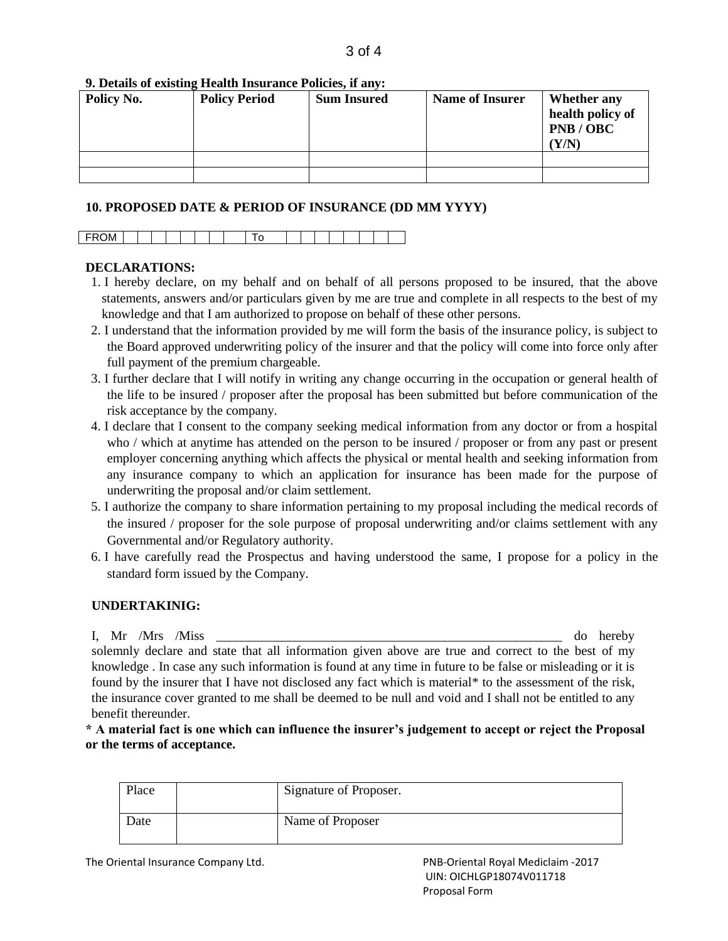#### **9. Details of existing Health Insurance Policies, if any:**

| Policy No. | <b>Policy Period</b> | <b>Sum Insured</b> | <b>Name of Insurer</b> | Whether any<br>health policy of<br>PNB / OBC<br>Y/N) |
|------------|----------------------|--------------------|------------------------|------------------------------------------------------|
|            |                      |                    |                        |                                                      |
|            |                      |                    |                        |                                                      |

#### **10. PROPOSED DATE & PERIOD OF INSURANCE (DD MM YYYY)**

|--|--|--|--|--|--|--|--|--|--|--|--|--|--|--|--|--|--|--|--|

#### **DECLARATIONS:**

- 1. I hereby declare, on my behalf and on behalf of all persons proposed to be insured, that the above statements, answers and/or particulars given by me are true and complete in all respects to the best of my knowledge and that I am authorized to propose on behalf of these other persons.
- 2. I understand that the information provided by me will form the basis of the insurance policy, is subject to the Board approved underwriting policy of the insurer and that the policy will come into force only after full payment of the premium chargeable.
- 3. I further declare that I will notify in writing any change occurring in the occupation or general health of the life to be insured / proposer after the proposal has been submitted but before communication of the risk acceptance by the company.
- 4. I declare that I consent to the company seeking medical information from any doctor or from a hospital who / which at anytime has attended on the person to be insured / proposer or from any past or present employer concerning anything which affects the physical or mental health and seeking information from any insurance company to which an application for insurance has been made for the purpose of underwriting the proposal and/or claim settlement.
- 5. I authorize the company to share information pertaining to my proposal including the medical records of the insured / proposer for the sole purpose of proposal underwriting and/or claims settlement with any Governmental and/or Regulatory authority.
- 6. I have carefully read the Prospectus and having understood the same, I propose for a policy in the standard form issued by the Company.

#### **UNDERTAKINIG:**

I, Mr /Mrs /Miss  $\sim$  1. The observed of the observed of the observed of the observed of the observed of the observed of the observed of the observed of the observed of the observed of the observed of the observed of the o solemnly declare and state that all information given above are true and correct to the best of my knowledge . In case any such information is found at any time in future to be false or misleading or it is found by the insurer that I have not disclosed any fact which is material\* to the assessment of the risk, the insurance cover granted to me shall be deemed to be null and void and I shall not be entitled to any benefit thereunder.

**\* A material fact is one which can influence the insurer's judgement to accept or reject the Proposal or the terms of acceptance.**

| Place | Signature of Proposer. |
|-------|------------------------|
| Date  | Name of Proposer       |

The Oriental Insurance Company Ltd. PNB-Oriental Royal Mediclaim -2017

 UIN: OICHLGP18074V011718 Proposal Form